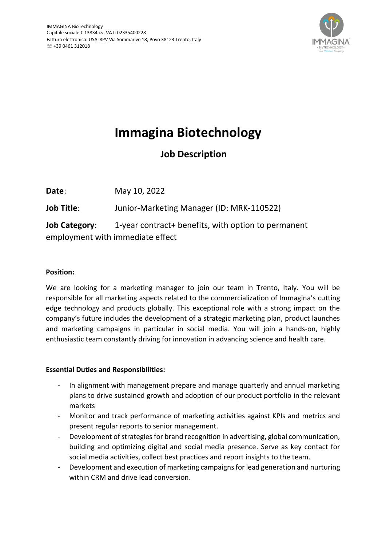

# **Immagina Biotechnology**

# **Job Description**

**Date**: May 10, 2022

**Job Title**: Junior-Marketing Manager (ID: MRK-110522)

**Job Category:** 1-year contract+ benefits, with option to permanent employment with immediate effect

## **Position:**

We are looking for a marketing manager to join our team in Trento, Italy. You will be responsible for all marketing aspects related to the commercialization of Immagina's cutting edge technology and products globally. This exceptional role with a strong impact on the company's future includes the development of a strategic marketing plan, product launches and marketing campaigns in particular in social media. You will join a hands-on, highly enthusiastic team constantly driving for innovation in advancing science and health care.

# **Essential Duties and Responsibilities:**

- In alignment with management prepare and manage quarterly and annual marketing plans to drive sustained growth and adoption of our product portfolio in the relevant markets
- Monitor and track performance of marketing activities against KPIs and metrics and present regular reports to senior management.
- Development of strategies for brand recognition in advertising, global communication, building and optimizing digital and social media presence. Serve as key contact for social media activities, collect best practices and report insights to the team.
- Development and execution of marketing campaigns for lead generation and nurturing within CRM and drive lead conversion.